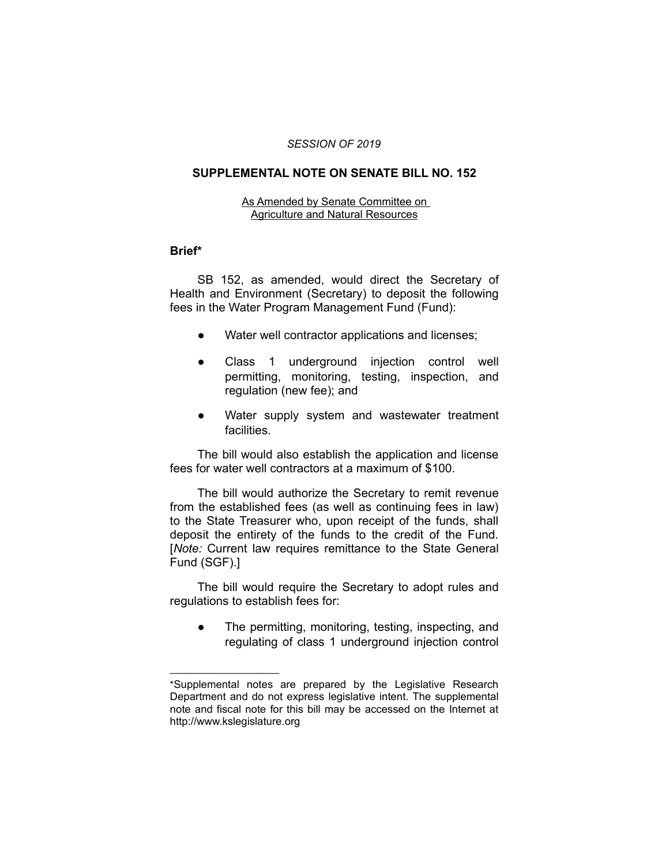#### *SESSION OF 2019*

# **SUPPLEMENTAL NOTE ON SENATE BILL NO. 152**

### As Amended by Senate Committee on Agriculture and Natural Resources

## **Brief\***

SB 152, as amended, would direct the Secretary of Health and Environment (Secretary) to deposit the following fees in the Water Program Management Fund (Fund):

- Water well contractor applications and licenses;
- Class 1 underground injection control well permitting, monitoring, testing, inspection, and regulation (new fee); and
- Water supply system and wastewater treatment facilities.

The bill would also establish the application and license fees for water well contractors at a maximum of \$100.

The bill would authorize the Secretary to remit revenue from the established fees (as well as continuing fees in law) to the State Treasurer who, upon receipt of the funds, shall deposit the entirety of the funds to the credit of the Fund. [*Note:* Current law requires remittance to the State General Fund (SGF).]

The bill would require the Secretary to adopt rules and regulations to establish fees for:

● The permitting, monitoring, testing, inspecting, and regulating of class 1 underground injection control

 $\overline{\phantom{a}}$  , where  $\overline{\phantom{a}}$  , where  $\overline{\phantom{a}}$ 

<sup>\*</sup>Supplemental notes are prepared by the Legislative Research Department and do not express legislative intent. The supplemental note and fiscal note for this bill may be accessed on the Internet at http://www.kslegislature.org